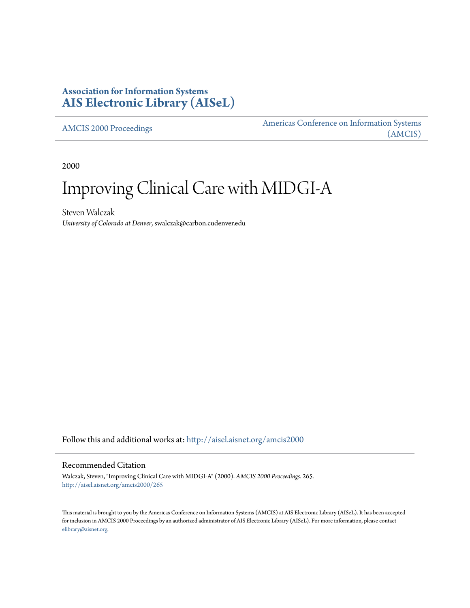# **Association for Information Systems [AIS Electronic Library \(AISeL\)](http://aisel.aisnet.org?utm_source=aisel.aisnet.org%2Famcis2000%2F265&utm_medium=PDF&utm_campaign=PDFCoverPages)**

[AMCIS 2000 Proceedings](http://aisel.aisnet.org/amcis2000?utm_source=aisel.aisnet.org%2Famcis2000%2F265&utm_medium=PDF&utm_campaign=PDFCoverPages)

[Americas Conference on Information Systems](http://aisel.aisnet.org/amcis?utm_source=aisel.aisnet.org%2Famcis2000%2F265&utm_medium=PDF&utm_campaign=PDFCoverPages) [\(AMCIS\)](http://aisel.aisnet.org/amcis?utm_source=aisel.aisnet.org%2Famcis2000%2F265&utm_medium=PDF&utm_campaign=PDFCoverPages)

2000

# Improving Clinical Care with MIDGI-A

Steven Walczak *University of Colorado at Denver*, swalczak@carbon.cudenver.edu

Follow this and additional works at: [http://aisel.aisnet.org/amcis2000](http://aisel.aisnet.org/amcis2000?utm_source=aisel.aisnet.org%2Famcis2000%2F265&utm_medium=PDF&utm_campaign=PDFCoverPages)

#### Recommended Citation

Walczak, Steven, "Improving Clinical Care with MIDGI-A" (2000). *AMCIS 2000 Proceedings*. 265. [http://aisel.aisnet.org/amcis2000/265](http://aisel.aisnet.org/amcis2000/265?utm_source=aisel.aisnet.org%2Famcis2000%2F265&utm_medium=PDF&utm_campaign=PDFCoverPages)

This material is brought to you by the Americas Conference on Information Systems (AMCIS) at AIS Electronic Library (AISeL). It has been accepted for inclusion in AMCIS 2000 Proceedings by an authorized administrator of AIS Electronic Library (AISeL). For more information, please contact [elibrary@aisnet.org.](mailto:elibrary@aisnet.org%3E)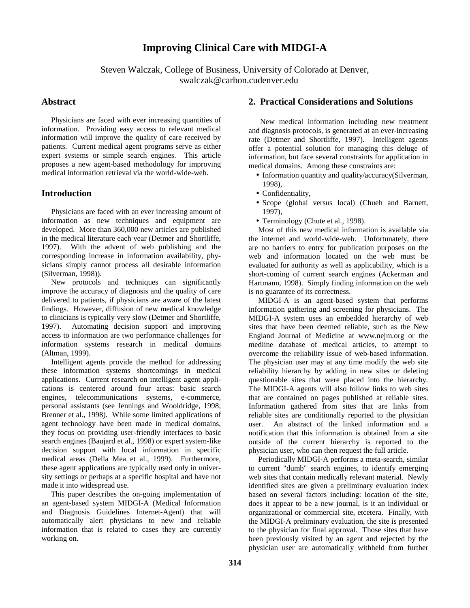# **Improving Clinical Care with MIDGI-A**

Steven Walczak, College of Business, University of Colorado at Denver, swalczak@carbon.cudenver.edu

#### **Abstract**

 Physicians are faced with ever increasing quantities of information. Providing easy access to relevant medical information will improve the quality of care received by patients. Current medical agent programs serve as either expert systems or simple search engines. This article proposes a new agent-based methodology for improving medical information retrieval via the world-wide-web.

# **Introduction**

 Physicians are faced with an ever increasing amount of information as new techniques and equipment are developed. More than 360,000 new articles are published in the medical literature each year (Detmer and Shortliffe, 1997). With the advent of web publishing and the corresponding increase in information availability, physicians simply cannot process all desirable information (Silverman, 1998)).

 New protocols and techniques can significantly improve the accuracy of diagnosis and the quality of care delivered to patients, if physicians are aware of the latest findings. However, diffusion of new medical knowledge to clinicians is typically very slow (Detmer and Shortliffe, 1997). Automating decision support and improving access to information are two performance challenges for information systems research in medical domains (Altman, 1999).

 Intelligent agents provide the method for addressing these information systems shortcomings in medical applications. Current research on intelligent agent applications is centered around four areas: basic search engines, telecommunications systems, e-commerce, personal assistants (see Jennings and Wooldridge, 1998; Brenner et al., 1998). While some limited applications of agent technology have been made in medical domains, they focus on providing user-friendly interfaces to basic search engines (Baujard et al., 1998) or expert system-like decision support with local information in specific medical areas (Della Mea et al., 1999). Furthermore, these agent applications are typically used only in university settings or perhaps at a specific hospital and have not made it into widespread use.

 This paper describes the on-going implementation of an agent-based system MIDGI-A (Medical Information and Diagnosis Guidelines Internet-Agent) that will automatically alert physicians to new and reliable information that is related to cases they are currently working on.

## **2. Practical Considerations and Solutions**

 New medical information including new treatment and diagnosis protocols, is generated at an ever-increasing rate (Detmer and Shortliffe, 1997). Intelligent agents offer a potential solution for managing this deluge of information, but face several constraints for application in medical domains. Among these constraints are:

- Information quantity and quality/accuracy(Silverman, 1998),
- Confidentiality,
- Scope (global versus local) (Chueh and Barnett, 1997),
- Terminology (Chute et al., 1998).

 Most of this new medical information is available via the internet and world-wide-web. Unfortunately, there are no barriers to entry for publication purposes on the web and information located on the web must be evaluated for authority as well as applicability, which is a short-coming of current search engines (Ackerman and Hartmann, 1998). Simply finding information on the web is no guarantee of its correctness.

 MIDGI-A is an agent-based system that performs information gathering and screening for physicians. The MIDGI-A system uses an embedded hierarchy of web sites that have been deemed reliable, such as the New England Journal of Medicine at www.nejm.org or the medline database of medical articles, to attempt to overcome the reliability issue of web-based information. The physician user may at any time modify the web site reliability hierarchy by adding in new sites or deleting questionable sites that were placed into the hierarchy. The MIDGI-A agents will also follow links to web sites that are contained on pages published at reliable sites. Information gathered from sites that are links from reliable sites are conditionally reported to the physician user. An abstract of the linked information and a notification that this information is obtained from a site outside of the current hierarchy is reported to the physician user, who can then request the full article.

 Periodically MIDGI-A performs a meta-search, similar to current "dumb" search engines, to identify emerging web sites that contain medically relevant material. Newly identified sites are given a preliminary evaluation index based on several factors including: location of the site, does it appear to be a new journal, is it an individual or organizational or commercial site, etcetera. Finally, with the MIDGI-A preliminary evaluation, the site is presented to the physician for final approval. Those sites that have been previously visited by an agent and rejected by the physician user are automatically withheld from further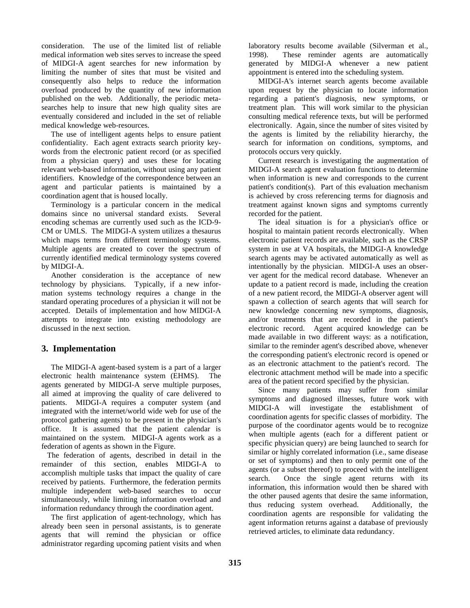consideration. The use of the limited list of reliable medical information web sites serves to increase the speed of MIDGI-A agent searches for new information by limiting the number of sites that must be visited and consequently also helps to reduce the information overload produced by the quantity of new information published on the web. Additionally, the periodic metasearches help to insure that new high quality sites are eventually considered and included in the set of reliable medical knowledge web-resources.

 The use of intelligent agents helps to ensure patient confidentiality. Each agent extracts search priority keywords from the electronic patient record (or as specified from a physician query) and uses these for locating relevant web-based information, without using any patient identifiers. Knowledge of the correspondence between an agent and particular patients is maintained by a coordination agent that is housed locally.

 Terminology is a particular concern in the medical domains since no universal standard exists. Several encoding schemas are currently used such as the ICD-9- CM or UMLS. The MIDGI-A system utilizes a thesaurus which maps terms from different terminology systems. Multiple agents are created to cover the spectrum of currently identified medical terminology systems covered by MIDGI-A.

 Another consideration is the acceptance of new technology by physicians. Typically, if a new information systems technology requires a change in the standard operating procedures of a physician it will not be accepted. Details of implementation and how MIDGI-A attempts to integrate into existing methodology are discussed in the next section.

#### **3. Implementation**

 The MIDGI-A agent-based system is a part of a larger electronic health maintenance system (EHMS). The agents generated by MIDGI-A serve multiple purposes, all aimed at improving the quality of care delivered to patients. MIDGI-A requires a computer system (and integrated with the internet/world wide web for use of the protocol gathering agents) to be present in the physician's office. It is assumed that the patient calendar is maintained on the system. MIDGI-A agents work as a federation of agents as shown in the Figure.

 The federation of agents, described in detail in the remainder of this section, enables MIDGI-A to accomplish multiple tasks that impact the quality of care received by patients. Furthermore, the federation permits multiple independent web-based searches to occur simultaneously, while limiting information overload and information redundancy through the coordination agent.

 The first application of agent-technology, which has already been seen in personal assistants, is to generate agents that will remind the physician or office administrator regarding upcoming patient visits and when laboratory results become available (Silverman et al., 1998). These reminder agents are automatically generated by MIDGI-A whenever a new patient appointment is entered into the scheduling system.

 MIDGI-A's internet search agents become available upon request by the physician to locate information regarding a patient's diagnosis, new symptoms, or treatment plan. This will work similar to the physician consulting medical reference texts, but will be performed electronically. Again, since the number of sites visited by the agents is limited by the reliability hierarchy, the search for information on conditions, symptoms, and protocols occurs very quickly.

 Current research is investigating the augmentation of MIDGI-A search agent evaluation functions to determine when information is new and corresponds to the current patient's condition(s). Part of this evaluation mechanism is achieved by cross referencing terms for diagnosis and treatment against known signs and symptoms currently recorded for the patient.

 The ideal situation is for a physician's office or hospital to maintain patient records electronically. When electronic patient records are available, such as the CRSP system in use at VA hospitals, the MIDGI-A knowledge search agents may be activated automatically as well as intentionally by the physician. MIDGI-A uses an observer agent for the medical record database. Whenever an update to a patient record is made, including the creation of a new patient record, the MIDGI-A observer agent will spawn a collection of search agents that will search for new knowledge concerning new symptoms, diagnosis, and/or treatments that are recorded in the patient's electronic record. Agent acquired knowledge can be made available in two different ways: as a notification, similar to the reminder agent's described above, whenever the corresponding patient's electronic record is opened or as an electronic attachment to the patient's record. The electronic attachment method will be made into a specific area of the patient record specified by the physician.

 Since many patients may suffer from similar symptoms and diagnosed illnesses, future work with MIDGI-A will investigate the establishment of coordination agents for specific classes of morbidity. The purpose of the coordinator agents would be to recognize when multiple agents (each for a different patient or specific physician query) are being launched to search for similar or highly correlated information (i.e., same disease or set of symptoms) and then to only permit one of the agents (or a subset thereof) to proceed with the intelligent search. Once the single agent returns with its information, this information would then be shared with the other paused agents that desire the same information, thus reducing system overhead. Additionally, the coordination agents are responsible for validating the agent information returns against a database of previously retrieved articles, to eliminate data redundancy.